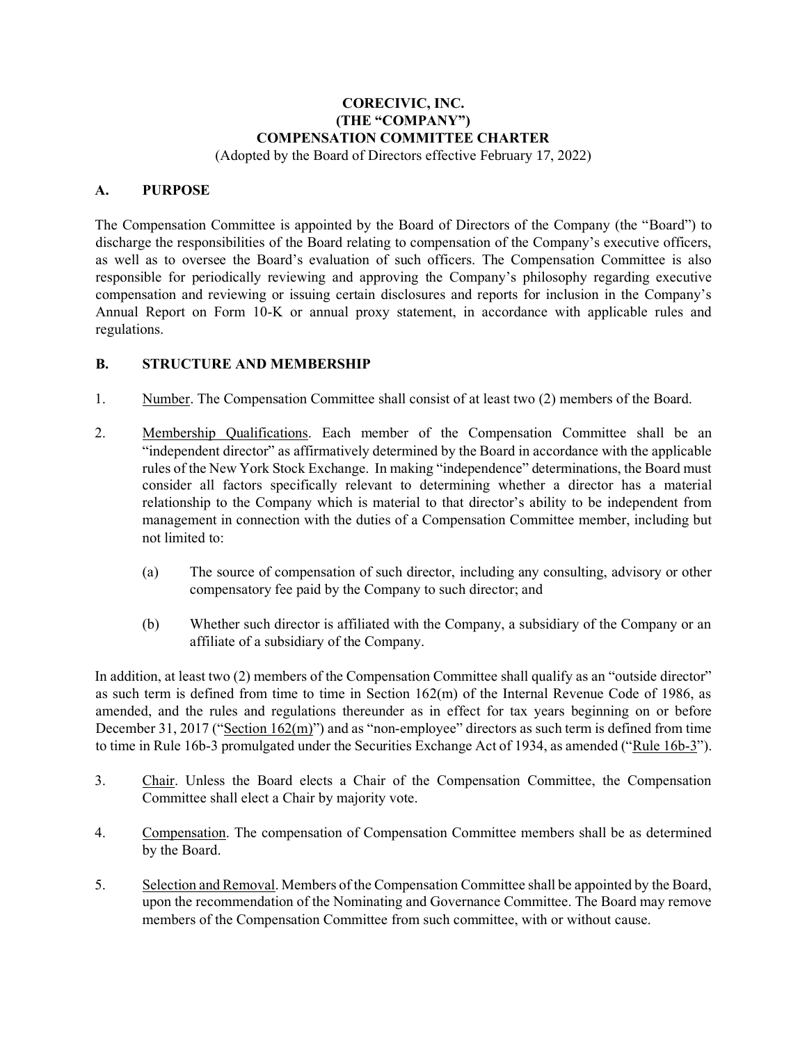# **CORECIVIC, INC. (THE "COMPANY") COMPENSATION COMMITTEE CHARTER**

(Adopted by the Board of Directors effective February 17, 2022)

#### **A. PURPOSE**

The Compensation Committee is appointed by the Board of Directors of the Company (the "Board") to discharge the responsibilities of the Board relating to compensation of the Company's executive officers, as well as to oversee the Board's evaluation of such officers. The Compensation Committee is also responsible for periodically reviewing and approving the Company's philosophy regarding executive compensation and reviewing or issuing certain disclosures and reports for inclusion in the Company's Annual Report on Form 10-K or annual proxy statement, in accordance with applicable rules and regulations.

## **B. STRUCTURE AND MEMBERSHIP**

- 1. Number. The Compensation Committee shall consist of at least two (2) members of the Board.
- 2. Membership Qualifications. Each member of the Compensation Committee shall be an "independent director" as affirmatively determined by the Board in accordance with the applicable rules of the New York Stock Exchange. In making "independence" determinations, the Board must consider all factors specifically relevant to determining whether a director has a material relationship to the Company which is material to that director's ability to be independent from management in connection with the duties of a Compensation Committee member, including but not limited to:
	- (a) The source of compensation of such director, including any consulting, advisory or other compensatory fee paid by the Company to such director; and
	- (b) Whether such director is affiliated with the Company, a subsidiary of the Company or an affiliate of a subsidiary of the Company.

In addition, at least two (2) members of the Compensation Committee shall qualify as an "outside director" as such term is defined from time to time in Section 162(m) of the Internal Revenue Code of 1986, as amended, and the rules and regulations thereunder as in effect for tax years beginning on or before December 31, 2017 ("Section  $162(m)$ ") and as "non-employee" directors as such term is defined from time to time in Rule 16b-3 promulgated under the Securities Exchange Act of 1934, as amended ("Rule 16b-3").

- 3. Chair. Unless the Board elects a Chair of the Compensation Committee, the Compensation Committee shall elect a Chair by majority vote.
- 4. Compensation. The compensation of Compensation Committee members shall be as determined by the Board.
- 5. Selection and Removal. Members of the Compensation Committee shall be appointed by the Board, upon the recommendation of the Nominating and Governance Committee. The Board may remove members of the Compensation Committee from such committee, with or without cause.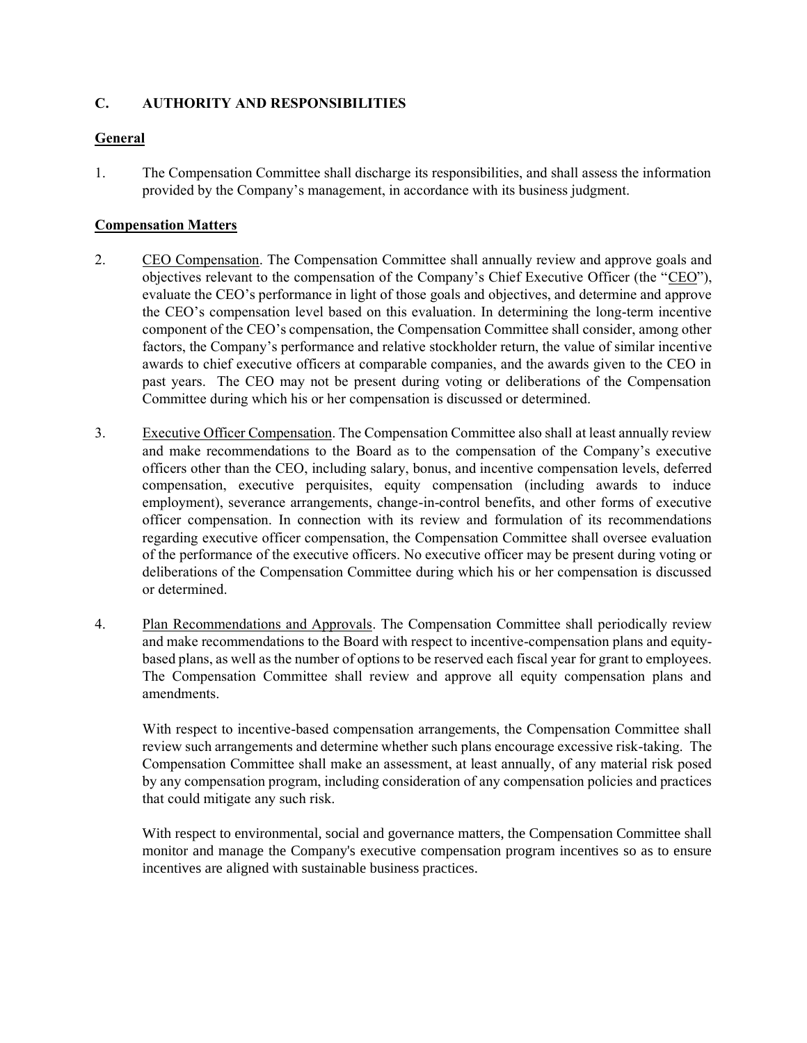# **C. AUTHORITY AND RESPONSIBILITIES**

## **General**

1. The Compensation Committee shall discharge its responsibilities, and shall assess the information provided by the Company's management, in accordance with its business judgment.

#### **Compensation Matters**

- 2. CEO Compensation. The Compensation Committee shall annually review and approve goals and objectives relevant to the compensation of the Company's Chief Executive Officer (the "CEO"), evaluate the CEO's performance in light of those goals and objectives, and determine and approve the CEO's compensation level based on this evaluation. In determining the long-term incentive component of the CEO's compensation, the Compensation Committee shall consider, among other factors, the Company's performance and relative stockholder return, the value of similar incentive awards to chief executive officers at comparable companies, and the awards given to the CEO in past years. The CEO may not be present during voting or deliberations of the Compensation Committee during which his or her compensation is discussed or determined.
- 3. Executive Officer Compensation. The Compensation Committee also shall at least annually review and make recommendations to the Board as to the compensation of the Company's executive officers other than the CEO, including salary, bonus, and incentive compensation levels, deferred compensation, executive perquisites, equity compensation (including awards to induce employment), severance arrangements, change-in-control benefits, and other forms of executive officer compensation. In connection with its review and formulation of its recommendations regarding executive officer compensation, the Compensation Committee shall oversee evaluation of the performance of the executive officers. No executive officer may be present during voting or deliberations of the Compensation Committee during which his or her compensation is discussed or determined.
- 4. Plan Recommendations and Approvals. The Compensation Committee shall periodically review and make recommendations to the Board with respect to incentive-compensation plans and equitybased plans, as well as the number of options to be reserved each fiscal year for grant to employees. The Compensation Committee shall review and approve all equity compensation plans and amendments.

With respect to incentive-based compensation arrangements, the Compensation Committee shall review such arrangements and determine whether such plans encourage excessive risk-taking. The Compensation Committee shall make an assessment, at least annually, of any material risk posed by any compensation program, including consideration of any compensation policies and practices that could mitigate any such risk.

With respect to environmental, social and governance matters, the Compensation Committee shall monitor and manage the Company's executive compensation program incentives so as to ensure incentives are aligned with sustainable business practices.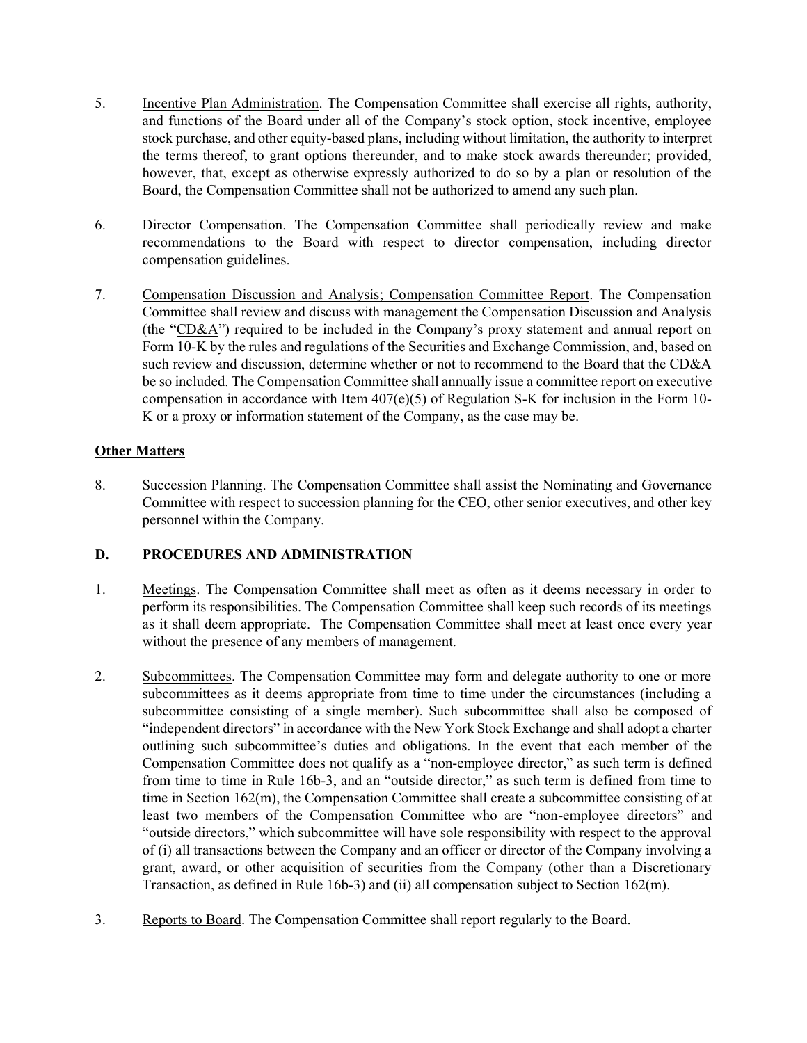- 5. Incentive Plan Administration. The Compensation Committee shall exercise all rights, authority, and functions of the Board under all of the Company's stock option, stock incentive, employee stock purchase, and other equity-based plans, including without limitation, the authority to interpret the terms thereof, to grant options thereunder, and to make stock awards thereunder; provided, however, that, except as otherwise expressly authorized to do so by a plan or resolution of the Board, the Compensation Committee shall not be authorized to amend any such plan.
- 6. Director Compensation. The Compensation Committee shall periodically review and make recommendations to the Board with respect to director compensation, including director compensation guidelines.
- 7. Compensation Discussion and Analysis; Compensation Committee Report. The Compensation Committee shall review and discuss with management the Compensation Discussion and Analysis (the "CD&A") required to be included in the Company's proxy statement and annual report on Form 10-K by the rules and regulations of the Securities and Exchange Commission, and, based on such review and discussion, determine whether or not to recommend to the Board that the CD&A be so included. The Compensation Committee shall annually issue a committee report on executive compensation in accordance with Item 407(e)(5) of Regulation S-K for inclusion in the Form 10- K or a proxy or information statement of the Company, as the case may be.

# **Other Matters**

8. Succession Planning. The Compensation Committee shall assist the Nominating and Governance Committee with respect to succession planning for the CEO, other senior executives, and other key personnel within the Company.

# **D. PROCEDURES AND ADMINISTRATION**

- 1. Meetings. The Compensation Committee shall meet as often as it deems necessary in order to perform its responsibilities. The Compensation Committee shall keep such records of its meetings as it shall deem appropriate. The Compensation Committee shall meet at least once every year without the presence of any members of management.
- 2. Subcommittees. The Compensation Committee may form and delegate authority to one or more subcommittees as it deems appropriate from time to time under the circumstances (including a subcommittee consisting of a single member). Such subcommittee shall also be composed of "independent directors" in accordance with the New York Stock Exchange and shall adopt a charter outlining such subcommittee's duties and obligations. In the event that each member of the Compensation Committee does not qualify as a "non-employee director," as such term is defined from time to time in Rule 16b-3, and an "outside director," as such term is defined from time to time in Section 162(m), the Compensation Committee shall create a subcommittee consisting of at least two members of the Compensation Committee who are "non-employee directors" and "outside directors," which subcommittee will have sole responsibility with respect to the approval of (i) all transactions between the Company and an officer or director of the Company involving a grant, award, or other acquisition of securities from the Company (other than a Discretionary Transaction, as defined in Rule 16b-3) and (ii) all compensation subject to Section 162(m).
- 3. Reports to Board. The Compensation Committee shall report regularly to the Board.